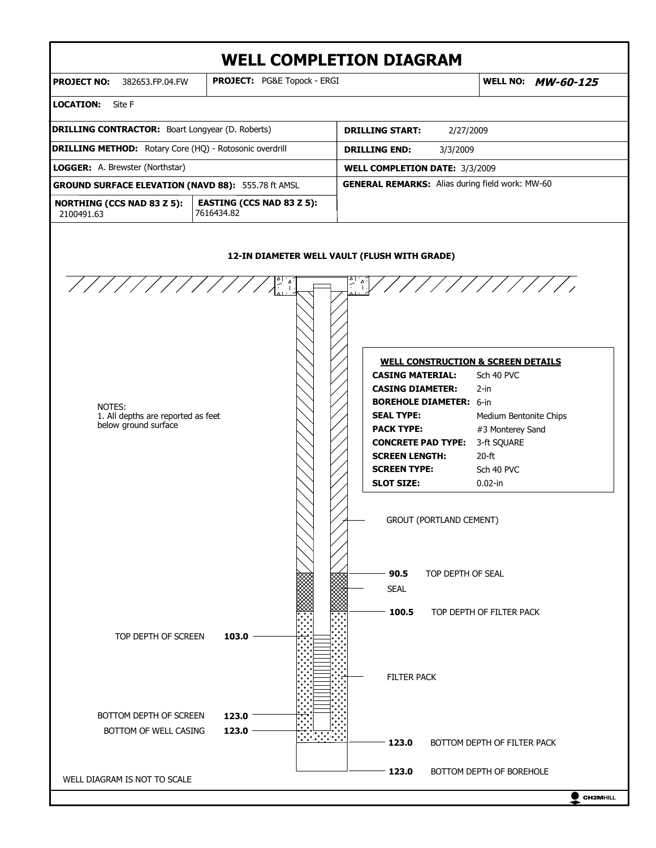# **WELL COMPLETION DIAGRAM**



 $\bullet$  CH2MHILL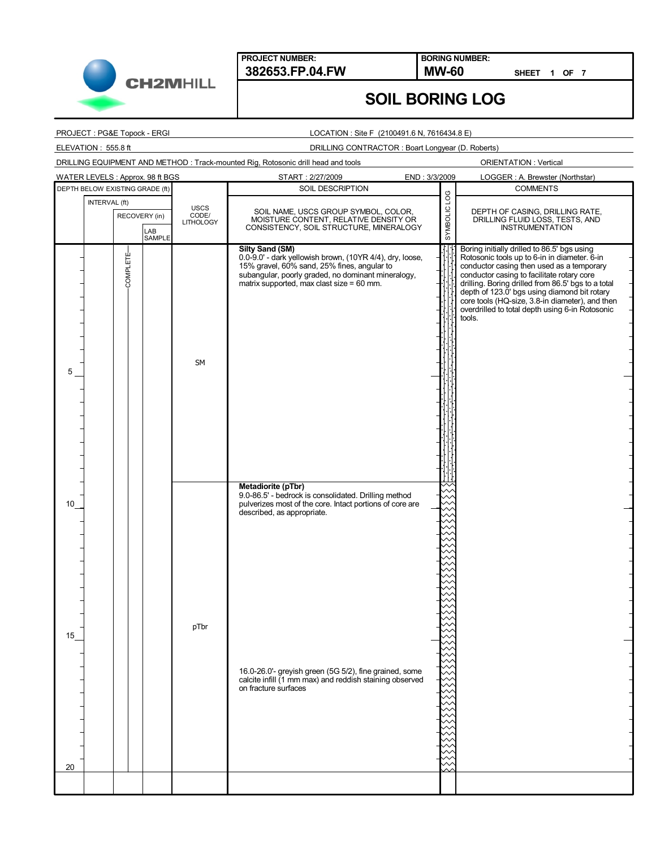

**BORING NUMBER:**

**SHEET 1 OF 7**

### **SOIL BORING LOG**

PROJECT : PG&E Topock - ERGI

LOCATION : Site F (2100491.6 N, 7616434.8 E)

ELEVATION : 555.8 ft

DRILLING CONTRACTOR : Boart Longyear (D. Roberts)

SOIL DESCRIPTION INTERVAL (ft) DEPTH BELOW EXISTING GRADE (ft) COMMENTS DRILLING EQUIPMENT AND METHOD : Track-mounted Rig, Rotosonic drill head and tools START : 2/27/2009 END : 3/3/2009 SOIL NAME, USCS GROUP SYMBOL, COLOR, MOISTURE CONTENT, RELATIVE DENSITY OR CONSISTENCY, SOIL STRUCTURE, MINERALOGY RECOVERY (in) SYMBOLIC LOG LAB SAMPLE LOGGER : A. Brewster (Northstar) ORIENTATION : Vertical USCS CODE/ LITHOLOGY WATER LEVELS : Approx. 98 ft BGS

|          | RECOVERY (in) | LAB<br><b>SAMPLE</b> | ്റം<br>CODE/<br><b>LITHOLOGY</b> | SOIL NAME, USCS GROUP SYMBOL, COLOR,<br>MOISTURE CONTENT, RELATIVE DENSITY OR<br>CONSISTENCY, SOIL STRUCTURE, MINERALOGY                                                                                                             | SYMBOLIC | DEPTH OF CASING, DRILLING RATE,<br>DRILLING FLUID LOSS, TESTS, AND<br><b>INSTRUMENTATION</b>                                                                                                                                                                                                                                                                                                                 |
|----------|---------------|----------------------|----------------------------------|--------------------------------------------------------------------------------------------------------------------------------------------------------------------------------------------------------------------------------------|----------|--------------------------------------------------------------------------------------------------------------------------------------------------------------------------------------------------------------------------------------------------------------------------------------------------------------------------------------------------------------------------------------------------------------|
| 5        | COMPLETE      |                      | <b>SM</b>                        | <b>Silty Sand (SM)</b><br>0.0-9.0' - dark yellowish brown, (10YR 4/4), dry, loose,<br>15% gravel, 60% sand, 25% fines, angular to<br>subangular, poorly graded, no dominant mineralogy,<br>matrix supported, max clast size = 60 mm. | Τ        | Boring initially drilled to 86.5' bgs using<br>Rotosonic tools up to 6-in in diameter. 6-in<br>conductor casing then used as a temporary<br>conductor casing to facilitate rotary core<br>drilling. Boring drilled from 86.5' bgs to a total<br>depth of 123.0' bgs using diamond bit rotary<br>core tools (HQ-size, 3.8-in diameter), and then<br>overdrilled to total depth using 6-in Rotosonic<br>tools. |
| 10       |               |                      |                                  | Metadiorite (pTbr)<br>9.0-86.5' - bedrock is consolidated. Drilling method<br>pulverizes most of the core. Intact portions of core are<br>described, as appropriate.                                                                 |          |                                                                                                                                                                                                                                                                                                                                                                                                              |
| 15<br>20 |               |                      | pTbr                             | 16.0-26.0'- greyish green (5G 5/2), fine grained, some<br>calcite infill (1 mm max) and reddish staining observed<br>on fracture surfaces                                                                                            |          |                                                                                                                                                                                                                                                                                                                                                                                                              |
|          |               |                      |                                  |                                                                                                                                                                                                                                      |          |                                                                                                                                                                                                                                                                                                                                                                                                              |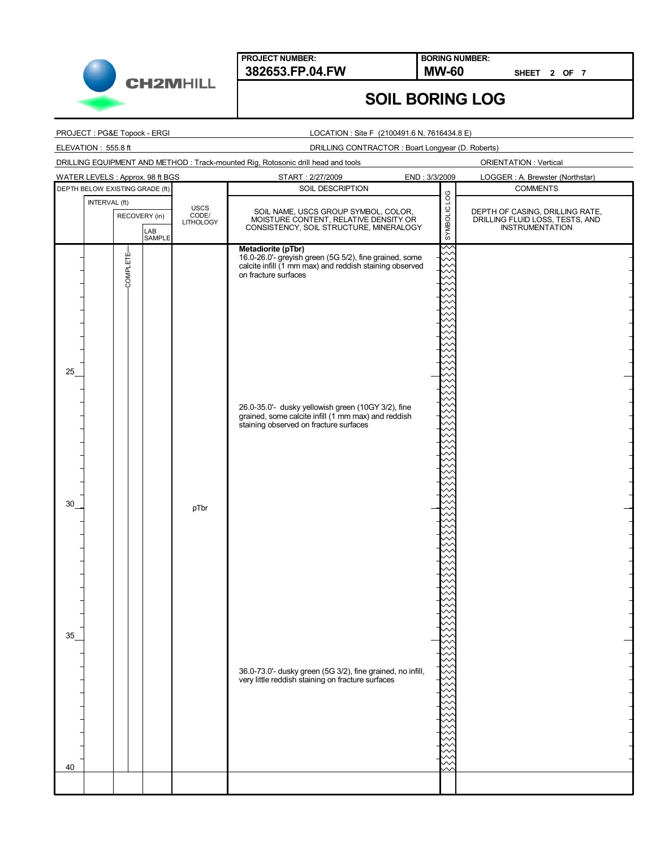

**BORING NUMBER:**

**SHEET 2 OF 7**

### **SOIL BORING LOG**

#### PROJECT : PG&E Topock - ERGI

#### LOCATION : Site F (2100491.6 N, 7616434.8 E)

#### ELEVATION : 555.8 ft

DRILLING CONTRACTOR : Boart Longyear (D. Roberts)

# ORIENTATION : Vertical DRILLING EQUIPMENT AND METHOD : Track-mounted Rig, Rotosonic drill head and tools WATER LEVELS : Approx. 98 ft BGS START : 2/27/2009 END : 3/3/2009 LOGGER : A. Brewster (Northstar) DEPTH BELOW EXISTING GRADE (ft) SOIL DESCRIPTION SOIL DESCRIPTION COMMENTS SOIL DESCRIPTION INTERVAL (ft) SYMBOLIC USCS<br>CODE/<br>LITHOLOGY SOIL NAME, USCS GROUP SYMBOL, COLOR, DEPTH OF CASING, DRILLING RATE, DRILLING FLUID LOSS, TESTS, AND INSTRUMENTATION RECOVERY (in) MOISTURE CONTENT, RELATIVE DENSITY OR CONSISTENCY, SOIL STRUCTURE, MINERALOGY LAB SAMPLE **Metadiorite (pTbr)** COMPLETE-COMPLETE16.0-26.0'- greyish green (5G 5/2), fine grained, some calcite infill (1 mm max) and reddish staining observed on fracture surfaces 25 26.0-35.0'- dusky yellowish green (10GY 3/2), fine grained, some calcite infill (1 mm max) and reddish staining observed on fracture surfaces 30 pTbr 35 36.0-73.0'- dusky green (5G 3/2), fine grained, no infill, very little reddish staining on fracture surfaces 40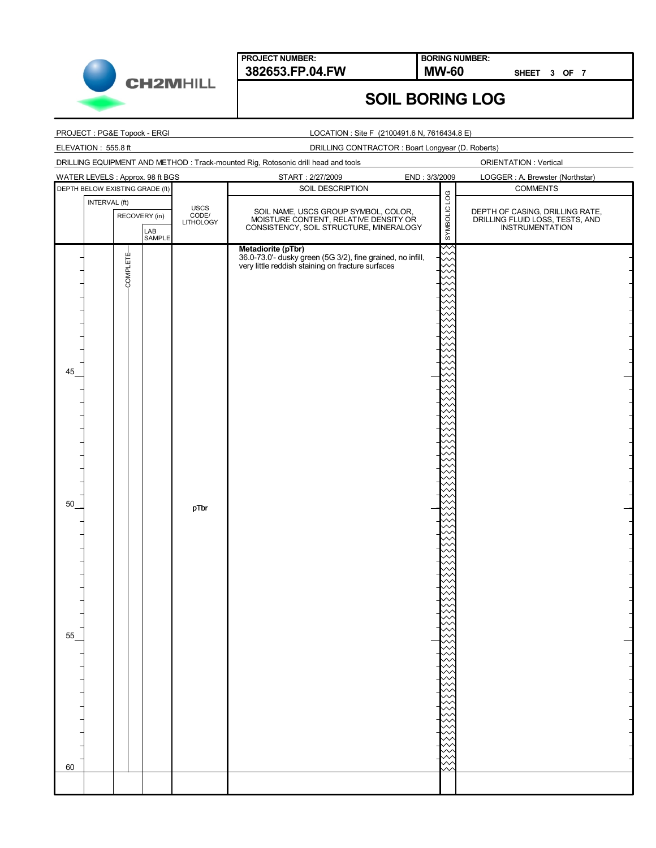

**BORING NUMBER:**

**SHEET 3 OF 7**

## **SOIL BORING LOG**

### PROJECT : PG&E Topock - ERGI

ELEVATION : 555.8 ft

#### LOCATION : Site F (2100491.6 N, 7616434.8 E)

DRILLING CONTRACTOR : Boart Longyear (D. Roberts)

| DRILLING EQUIPMENT AND METHOD : Track-mounted Rig, Rotosonic drill head and tools<br><b>ORIENTATION: Vertical</b> |                            |                                                                                                                                       |                    |                                                                                       |  |  |  |
|-------------------------------------------------------------------------------------------------------------------|----------------------------|---------------------------------------------------------------------------------------------------------------------------------------|--------------------|---------------------------------------------------------------------------------------|--|--|--|
| WATER LEVELS : Approx. 98 ft BGS                                                                                  |                            | START: 2/27/2009<br>END: 3/3/2009                                                                                                     |                    | LOGGER : A. Brewster (Northstar)                                                      |  |  |  |
| DEPTH BELOW EXISTING GRADE (ft)                                                                                   |                            | SOIL DESCRIPTION                                                                                                                      |                    | <b>COMMENTS</b>                                                                       |  |  |  |
| INTERVAL (ft)<br>RECOVERY (in)<br>LAB<br>SAMPLE                                                                   | USCS<br>CODE/<br>LITHOLOGY | SOIL NAME, USCS GROUP SYMBOL, COLOR,<br>MOISTURE CONTENT, RELATIVE DENSITY OR<br>CONSISTENCY, SOIL STRUCTURE, MINERALOGY              | SAMBOLIC LOG       | DEPTH OF CASING, DRILLING RATE,<br>DRILLING FLUID LOSS, TESTS, AND<br>INSTRUMENTATION |  |  |  |
| COMPLETE-<br>45<br>50<br>ַכּ<br>60                                                                                | pTbr                       | Metadiorite (pTbr)<br>36.0-73.0'- dusky green (5G 3/2), fine grained, no infill,<br>very little reddish staining on fracture surfaces | $\scriptstyle\sim$ |                                                                                       |  |  |  |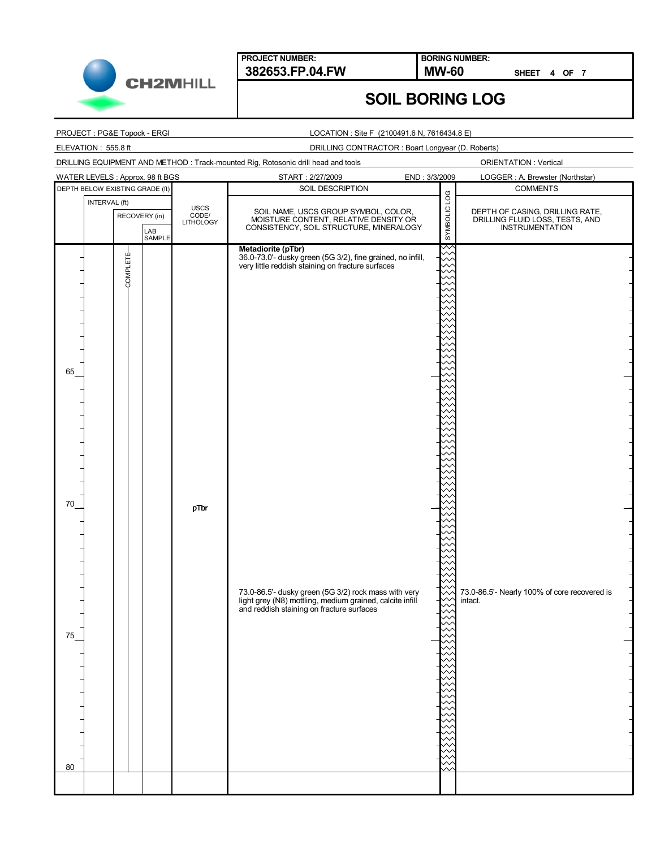

**BORING NUMBER:**

**SHEET 4 OF 7**

### **SOIL BORING LOG**

#### PROJECT : PG&E Topock - ERGI

#### LOCATION : Site F (2100491.6 N, 7616434.8 E)

ELEVATION : 555.8 ft

DRILLING CONTRACTOR : Boart Longyear (D. Roberts)

| DRILLING EQUIPMENT AND METHOD: Track-mounted Rig, Rotosonic drill head and tools |  |
|----------------------------------------------------------------------------------|--|
|                                                                                  |  |

ORIENTATION : Vertical

|          | WATER LEVELS : Approx. 98 ft BGS                |  |                            | START: 2/27/2009<br>END: 3/3/2009                                                                                                                             |              | LOGGER: A. Brewster (Northstar)                                                       |  |
|----------|-------------------------------------------------|--|----------------------------|---------------------------------------------------------------------------------------------------------------------------------------------------------------|--------------|---------------------------------------------------------------------------------------|--|
|          | DEPTH BELOW EXISTING GRADE (ft)                 |  |                            | SOIL DESCRIPTION                                                                                                                                              |              | <b>COMMENTS</b>                                                                       |  |
|          | INTERVAL (ft)<br>RECOVERY (in)<br>LAB<br>SAMPLE |  | USCS<br>CODE/<br>LITHOLOGY | SOIL NAME, USCS GROUP SYMBOL, COLOR,<br>MOISTURE CONTENT, RELATIVE DENSITY OR<br>CONSISTENCY, SOIL STRUCTURE, MINERALOGY                                      | SYMBOLIC LOG | DEPTH OF CASING, DRILLING RATE,<br>DRILLING FLUID LOSS, TESTS, AND<br>INSTRUMENTATION |  |
| 65       | COMPLETE-                                       |  |                            | Metadiorite (pTbr)<br>36.0-73.0'- dusky green (5G 3/2), fine grained, no infill,<br>very little reddish staining on fracture surfaces                         |              |                                                                                       |  |
| 70<br>75 |                                                 |  | pTbr                       | 73.0-86.5'- dusky green (5G 3/2) rock mass with very<br>light grey (N8) mottling, medium grained, calcite infill<br>and reddish staining on fracture surfaces |              | 73.0-86.5'- Nearly 100% of core recovered is<br>intact.                               |  |
| 80       |                                                 |  |                            |                                                                                                                                                               |              |                                                                                       |  |
|          |                                                 |  |                            |                                                                                                                                                               |              |                                                                                       |  |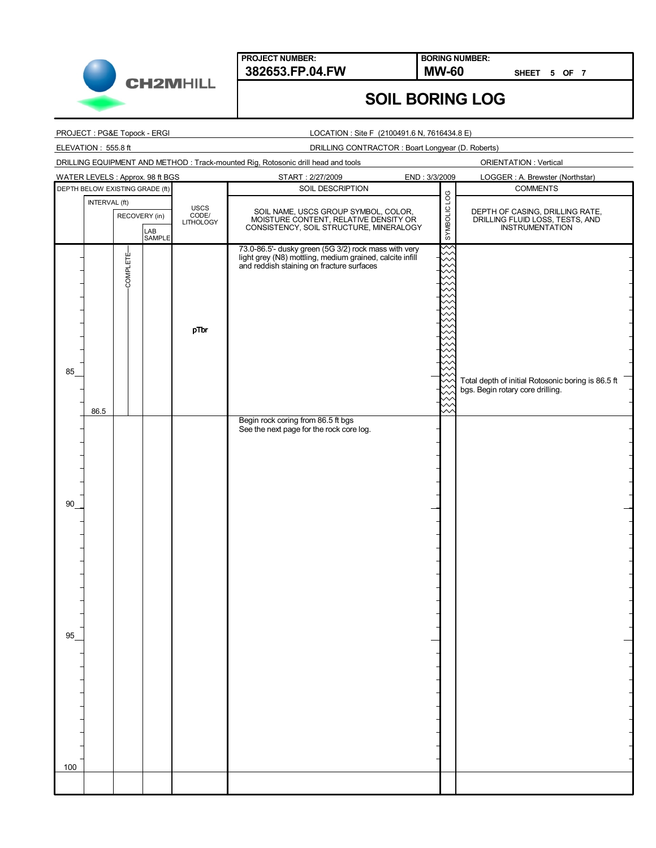

**BORING NUMBER:**

**SHEET 5 OF 7**

## **SOIL BORING LOG**

### PROJECT : PG&E Topock - ERGI

#### LOCATION : Site F (2100491.6 N, 7616434.8 E)

ELEVATION : 555.8 ft

DRILLING CONTRACTOR : Boart Longyear (D. Roberts)

| START: 2/27/2009<br>WATER LEVELS : Approx. 98 ft BGS<br>END: 3/3/2009<br>LOGGER : A. Brewster (Northstar)<br>SOIL DESCRIPTION<br><b>COMMENTS</b><br>DEPTH BELOW EXISTING GRADE (ft)<br>SYMBOLIC LOG<br>INTERVAL (ft)<br>USCS<br>CODE/<br>LITHOLOGY<br>SOIL NAME, USCS GROUP SYMBOL, COLOR,<br>DEPTH OF CASING, DRILLING RATE,<br>DRILLING FLUID LOSS, TESTS, AND<br>INSTRUMENTATION<br>RECOVERY (in)<br>MOISTURE CONTENT, RELATIVE DENSITY OR<br>CONSISTENCY, SOIL STRUCTURE, MINERALOGY<br>LAB<br>SAMPLE<br>73.0-86.5'- dusky green (5G 3/2) rock mass with very<br>COMPLETE-<br>light grey (N8) mottling, medium grained, calcite infill<br>and reddish staining on fracture surfaces<br>pTbr<br>85<br>Total depth of initial Rotosonic boring is 86.5 ft<br>bgs. Begin rotary core drilling.<br>86.5<br>Begin rock coring from 86.5 ft bgs<br>See the next page for the rock core log.<br>90<br>95<br>100 |  |  |  |  | DRILLING EQUIPMENT AND METHOD : Track-mounted Rig, Rotosonic drill head and tools |  | <b>ORIENTATION: Vertical</b> |
|--------------------------------------------------------------------------------------------------------------------------------------------------------------------------------------------------------------------------------------------------------------------------------------------------------------------------------------------------------------------------------------------------------------------------------------------------------------------------------------------------------------------------------------------------------------------------------------------------------------------------------------------------------------------------------------------------------------------------------------------------------------------------------------------------------------------------------------------------------------------------------------------------------------|--|--|--|--|-----------------------------------------------------------------------------------|--|------------------------------|
|                                                                                                                                                                                                                                                                                                                                                                                                                                                                                                                                                                                                                                                                                                                                                                                                                                                                                                              |  |  |  |  |                                                                                   |  |                              |
|                                                                                                                                                                                                                                                                                                                                                                                                                                                                                                                                                                                                                                                                                                                                                                                                                                                                                                              |  |  |  |  |                                                                                   |  |                              |
|                                                                                                                                                                                                                                                                                                                                                                                                                                                                                                                                                                                                                                                                                                                                                                                                                                                                                                              |  |  |  |  |                                                                                   |  |                              |
|                                                                                                                                                                                                                                                                                                                                                                                                                                                                                                                                                                                                                                                                                                                                                                                                                                                                                                              |  |  |  |  |                                                                                   |  |                              |
|                                                                                                                                                                                                                                                                                                                                                                                                                                                                                                                                                                                                                                                                                                                                                                                                                                                                                                              |  |  |  |  |                                                                                   |  |                              |
|                                                                                                                                                                                                                                                                                                                                                                                                                                                                                                                                                                                                                                                                                                                                                                                                                                                                                                              |  |  |  |  |                                                                                   |  |                              |
|                                                                                                                                                                                                                                                                                                                                                                                                                                                                                                                                                                                                                                                                                                                                                                                                                                                                                                              |  |  |  |  |                                                                                   |  |                              |
|                                                                                                                                                                                                                                                                                                                                                                                                                                                                                                                                                                                                                                                                                                                                                                                                                                                                                                              |  |  |  |  |                                                                                   |  |                              |
|                                                                                                                                                                                                                                                                                                                                                                                                                                                                                                                                                                                                                                                                                                                                                                                                                                                                                                              |  |  |  |  |                                                                                   |  |                              |
|                                                                                                                                                                                                                                                                                                                                                                                                                                                                                                                                                                                                                                                                                                                                                                                                                                                                                                              |  |  |  |  |                                                                                   |  |                              |
|                                                                                                                                                                                                                                                                                                                                                                                                                                                                                                                                                                                                                                                                                                                                                                                                                                                                                                              |  |  |  |  |                                                                                   |  |                              |
|                                                                                                                                                                                                                                                                                                                                                                                                                                                                                                                                                                                                                                                                                                                                                                                                                                                                                                              |  |  |  |  |                                                                                   |  |                              |
|                                                                                                                                                                                                                                                                                                                                                                                                                                                                                                                                                                                                                                                                                                                                                                                                                                                                                                              |  |  |  |  |                                                                                   |  |                              |
|                                                                                                                                                                                                                                                                                                                                                                                                                                                                                                                                                                                                                                                                                                                                                                                                                                                                                                              |  |  |  |  |                                                                                   |  |                              |
|                                                                                                                                                                                                                                                                                                                                                                                                                                                                                                                                                                                                                                                                                                                                                                                                                                                                                                              |  |  |  |  |                                                                                   |  |                              |
|                                                                                                                                                                                                                                                                                                                                                                                                                                                                                                                                                                                                                                                                                                                                                                                                                                                                                                              |  |  |  |  |                                                                                   |  |                              |
|                                                                                                                                                                                                                                                                                                                                                                                                                                                                                                                                                                                                                                                                                                                                                                                                                                                                                                              |  |  |  |  |                                                                                   |  |                              |
|                                                                                                                                                                                                                                                                                                                                                                                                                                                                                                                                                                                                                                                                                                                                                                                                                                                                                                              |  |  |  |  |                                                                                   |  |                              |
|                                                                                                                                                                                                                                                                                                                                                                                                                                                                                                                                                                                                                                                                                                                                                                                                                                                                                                              |  |  |  |  |                                                                                   |  |                              |
|                                                                                                                                                                                                                                                                                                                                                                                                                                                                                                                                                                                                                                                                                                                                                                                                                                                                                                              |  |  |  |  |                                                                                   |  |                              |
|                                                                                                                                                                                                                                                                                                                                                                                                                                                                                                                                                                                                                                                                                                                                                                                                                                                                                                              |  |  |  |  |                                                                                   |  |                              |
|                                                                                                                                                                                                                                                                                                                                                                                                                                                                                                                                                                                                                                                                                                                                                                                                                                                                                                              |  |  |  |  |                                                                                   |  |                              |
|                                                                                                                                                                                                                                                                                                                                                                                                                                                                                                                                                                                                                                                                                                                                                                                                                                                                                                              |  |  |  |  |                                                                                   |  |                              |
|                                                                                                                                                                                                                                                                                                                                                                                                                                                                                                                                                                                                                                                                                                                                                                                                                                                                                                              |  |  |  |  |                                                                                   |  |                              |
|                                                                                                                                                                                                                                                                                                                                                                                                                                                                                                                                                                                                                                                                                                                                                                                                                                                                                                              |  |  |  |  |                                                                                   |  |                              |
|                                                                                                                                                                                                                                                                                                                                                                                                                                                                                                                                                                                                                                                                                                                                                                                                                                                                                                              |  |  |  |  |                                                                                   |  |                              |
|                                                                                                                                                                                                                                                                                                                                                                                                                                                                                                                                                                                                                                                                                                                                                                                                                                                                                                              |  |  |  |  |                                                                                   |  |                              |
|                                                                                                                                                                                                                                                                                                                                                                                                                                                                                                                                                                                                                                                                                                                                                                                                                                                                                                              |  |  |  |  |                                                                                   |  |                              |
|                                                                                                                                                                                                                                                                                                                                                                                                                                                                                                                                                                                                                                                                                                                                                                                                                                                                                                              |  |  |  |  |                                                                                   |  |                              |
|                                                                                                                                                                                                                                                                                                                                                                                                                                                                                                                                                                                                                                                                                                                                                                                                                                                                                                              |  |  |  |  |                                                                                   |  |                              |
|                                                                                                                                                                                                                                                                                                                                                                                                                                                                                                                                                                                                                                                                                                                                                                                                                                                                                                              |  |  |  |  |                                                                                   |  |                              |
|                                                                                                                                                                                                                                                                                                                                                                                                                                                                                                                                                                                                                                                                                                                                                                                                                                                                                                              |  |  |  |  |                                                                                   |  |                              |
|                                                                                                                                                                                                                                                                                                                                                                                                                                                                                                                                                                                                                                                                                                                                                                                                                                                                                                              |  |  |  |  |                                                                                   |  |                              |
|                                                                                                                                                                                                                                                                                                                                                                                                                                                                                                                                                                                                                                                                                                                                                                                                                                                                                                              |  |  |  |  |                                                                                   |  |                              |
|                                                                                                                                                                                                                                                                                                                                                                                                                                                                                                                                                                                                                                                                                                                                                                                                                                                                                                              |  |  |  |  |                                                                                   |  |                              |
|                                                                                                                                                                                                                                                                                                                                                                                                                                                                                                                                                                                                                                                                                                                                                                                                                                                                                                              |  |  |  |  |                                                                                   |  |                              |
|                                                                                                                                                                                                                                                                                                                                                                                                                                                                                                                                                                                                                                                                                                                                                                                                                                                                                                              |  |  |  |  |                                                                                   |  |                              |
|                                                                                                                                                                                                                                                                                                                                                                                                                                                                                                                                                                                                                                                                                                                                                                                                                                                                                                              |  |  |  |  |                                                                                   |  |                              |
|                                                                                                                                                                                                                                                                                                                                                                                                                                                                                                                                                                                                                                                                                                                                                                                                                                                                                                              |  |  |  |  |                                                                                   |  |                              |
|                                                                                                                                                                                                                                                                                                                                                                                                                                                                                                                                                                                                                                                                                                                                                                                                                                                                                                              |  |  |  |  |                                                                                   |  |                              |
|                                                                                                                                                                                                                                                                                                                                                                                                                                                                                                                                                                                                                                                                                                                                                                                                                                                                                                              |  |  |  |  |                                                                                   |  |                              |
|                                                                                                                                                                                                                                                                                                                                                                                                                                                                                                                                                                                                                                                                                                                                                                                                                                                                                                              |  |  |  |  |                                                                                   |  |                              |
|                                                                                                                                                                                                                                                                                                                                                                                                                                                                                                                                                                                                                                                                                                                                                                                                                                                                                                              |  |  |  |  |                                                                                   |  |                              |
|                                                                                                                                                                                                                                                                                                                                                                                                                                                                                                                                                                                                                                                                                                                                                                                                                                                                                                              |  |  |  |  |                                                                                   |  |                              |
|                                                                                                                                                                                                                                                                                                                                                                                                                                                                                                                                                                                                                                                                                                                                                                                                                                                                                                              |  |  |  |  |                                                                                   |  |                              |
|                                                                                                                                                                                                                                                                                                                                                                                                                                                                                                                                                                                                                                                                                                                                                                                                                                                                                                              |  |  |  |  |                                                                                   |  |                              |
|                                                                                                                                                                                                                                                                                                                                                                                                                                                                                                                                                                                                                                                                                                                                                                                                                                                                                                              |  |  |  |  |                                                                                   |  |                              |
|                                                                                                                                                                                                                                                                                                                                                                                                                                                                                                                                                                                                                                                                                                                                                                                                                                                                                                              |  |  |  |  |                                                                                   |  |                              |
|                                                                                                                                                                                                                                                                                                                                                                                                                                                                                                                                                                                                                                                                                                                                                                                                                                                                                                              |  |  |  |  |                                                                                   |  |                              |
|                                                                                                                                                                                                                                                                                                                                                                                                                                                                                                                                                                                                                                                                                                                                                                                                                                                                                                              |  |  |  |  |                                                                                   |  |                              |
|                                                                                                                                                                                                                                                                                                                                                                                                                                                                                                                                                                                                                                                                                                                                                                                                                                                                                                              |  |  |  |  |                                                                                   |  |                              |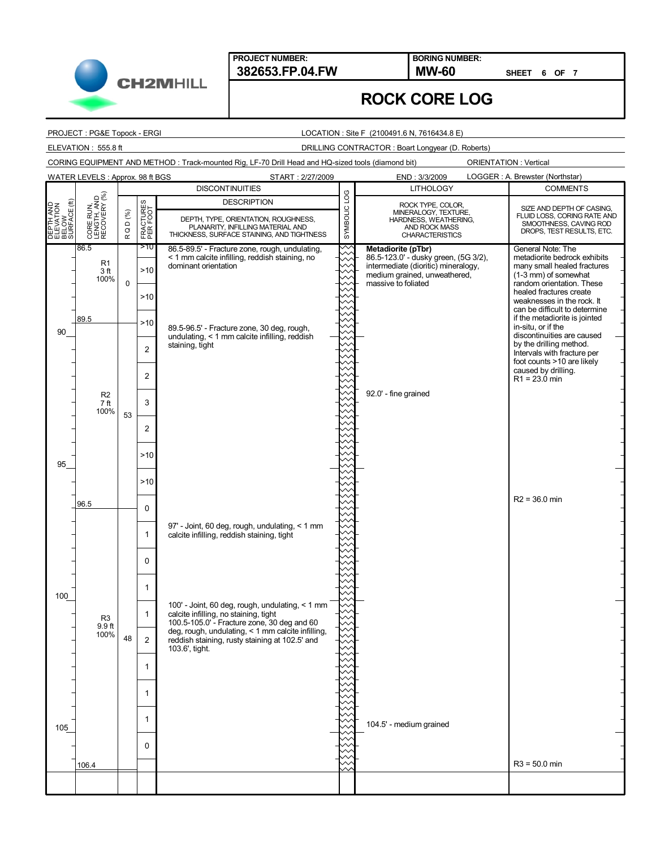**PROJECT NUMBER:**

CORING EQUIPMENT AND METHOD : Track-mounted Rig, LF-70 Drill Head and HQ-sized tools (diamond bit)

**382653.FP.04.FW MW-60 BORING NUMBER:**

**SHEET 6 OF 7**

### **ROCK CORE LOG**

PROJECT : PG&E Topock - ERGI

**CH2MHILL** 

LOCATION : Site F (2100491.6 N, 7616434.8 E)

ELEVATION : 555.8 ft DRILLING CONTRACTOR : Boart Longyear (D. Roberts)

ORIENTATION : Vertical

86.5-89.5' - Fracture zone, rough, undulating, < 1 mm calcite infilling, reddish staining, no dominant orientation 89.5-96.5' - Fracture zone, 30 deg, rough, undulating, < 1 mm calcite infilling, reddish staining, tight 97' - Joint, 60 deg, rough, undulating, < 1 mm calcite infilling, reddish staining, tight 100' - Joint, 60 deg, rough, undulating, < 1 mm calcite infilling, no staining, tight 100.5-105.0' - Fracture zone, 30 deg and 60 deg, rough, undulating, < 1 mm calcite infilling, reddish staining, rusty staining at 102.5' and 103.6', tight. 89.5 96.5 106.4 86.5 0 53 48 **Metadiorite (pTbr)** 86.5-123.0' - dusky green, (5G 3/2), intermediate (dioritic) mineralogy, medium grained, unweathered, massive to foliated 92.0' - fine grained 104.5' - medium grained General Note: The metadiorite bedrock exhibits many small healed fractures (1-3 mm) of somewhat random orientation. These healed fractures create weaknesses in the rock. It can be difficult to determine if the metadiorite is jointed in-situ, or if the discontinuities are caused by the drilling method. Intervals with fracture per foot counts >10 are likely caused by drilling.  $R1 = 23.0$  min R2 = 36.0 min R3 = 50.0 min >10 >10  $>10$  $>10$ 2 2 3 2 >10 >10 0 1 0 1 1 2 1 1 1 0 **DESCRIPTION**<br>
CONFILE THE SAME TO BELOW THE SURFACE STAINING, AND TIGHTNESS,<br>
PLANARITY, INFILLING MATERIAL AND<br>
BELOW BELOW BELOW PLANARITY, INFILLING MATERIAL AND<br>
BELOW BELOW BELOW PLANARITY, INFILLING MATERIAL AND<br>
BE **DESCRIPTION** R Q D (%) FRACTURES PER FOOT START : 2/27/2009 END : 3/3/2009 90 95 100 105 LOGGER : A. Brewster (Northstar) **DISCONTINUITIES COMMENTS** SIZE AND DEPTH OF CASING, FLUID LOSS, CORING RATE AND SMOOTHNESS, CAVING ROD DROPS, TEST RESULTS, ETC. LITHOLOGY CORE RUN, LENGTH, AND RECOVERY (%) ROCK TYPE, COLOR, MINERALOGY, TEXTURE, HARDNESS, WEATHERING, AND ROCK MASS CHARACTERISTICS WATER LEVELS : Approx. 98 ft BGS R1 3 ft 100% R2 7 ft 100% R3 9.9 ft 100%